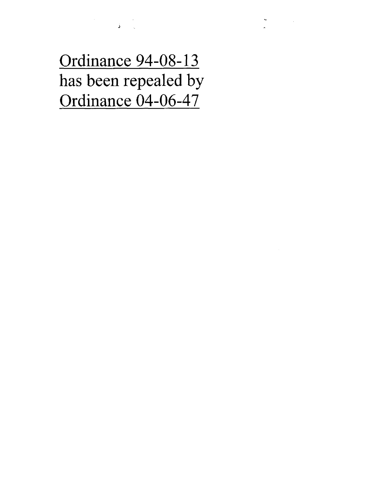Ordinance 94-08-13 has been repealed by Ordinance 04-06-47

ing ang pagkalang.<br>Ang pangalang

 $\label{eq:2.1} \frac{d\mathbf{r}}{d\mathbf{r}} = \frac{1}{2} \sum_{\mathbf{r} \in \mathcal{R}^{(n)}} \frac{d\mathbf{r}}{d\mathbf{r}} \left( \frac{\mathbf{r}}{d\mathbf{r}} \right)$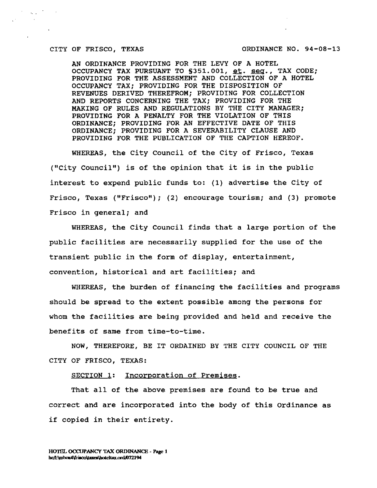$\mathcal{O}(\sqrt{N} \log n)$ 

 $\sim 10^{-1}$ 

CITY OF FRISCO, TEXAS ORDINANCE NO. 94-08-13

AN ORDINANCE PROVIDING FOR THE LEVY OF A HOTEL OCCUPANCY TAX PURSUANT TO §351.001, et. seq., TAX CODE; PROVIDING FOR THE ASSESSMENT AND COLLECTION OF A HOTEL OCCUPANCY TAX; PROVIDING FOR THE DISPOSITION OF REVENUES DERIVED THEREFROM; PROVIDING FOR COLLECTION AND REPORTS CONCERNING THE TAX; PROVIDING FOR THE MAKING OF RULES AND REGULATIONS BY THE CITY MANAGER; PROVIDING FOR A PENALTY FOR THE VIOLATION OF THIS ORDINANCE; PROVIDING FOR AN EFFECTIVE DATE **OF THIS** ORDINANCE; PROVIDING FOR A SEVERABILITY CLAUSE AND PROVIDING FOR THE PUBLICATION OF THE CAPTION HEREOF.

WHEREAS, the City Council of the City of Frisco, Texas ("City Council") is of the opinion that it is in the public interest to expend public funds to: (1) advertise the City of Frisco, Texas ("Frisco"); (2) encourage tourism; and (3) promote Frisco in general; and

WHEREAS, the City Council finds that a large portion of the public facilities are necessarily supplied for the use of the transient public in the form of display, entertainment, convention, historical and art facilities; and

WHEREAS, the burden of financing the facilities and programs should be spread to the extent possible among the persons for whom the facilities are being provided and held and receive the benefits of same from time-to-time.

NOW, THEREFORE, BE IT ORDAINED BY THE CITY COUNCIL OF THE CITY OF FRISCO, TEXAS:

SECTION 1: Incorporation of Premises.

That all of the above premises are found to be true and correct and are incorporated into the body of this Ordinance as if copied in their entirety.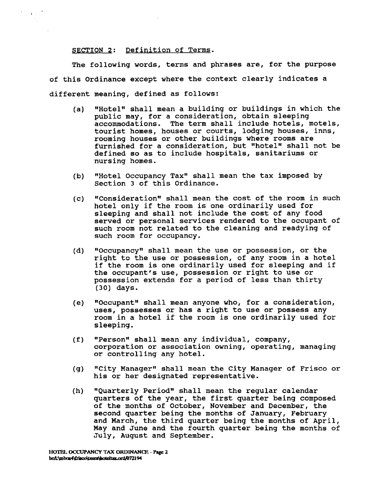#### SECTION 2: Definition of Terms.

 $\mathbf{X}$  and  $\mathbf{X}$ 

The following words, terms and phrases are, for the purpose of this Ordinance except where the context clearly indicates a different meaning, defined as follows:

- (a) "Hotel" shall mean a building or buildings in which the public may, for a consideration, obtain sleeping accommodations. The term shall include hotels, motels, tourist homes, houses or courts, lodging houses, inns, rooming houses or other buildings where rooms are furnished for a consideration, but "hotel" shall not be defined so as to include hospitals, sanitariums or nursing homes.
- (b) "Hotel Occupancy Tax" shall mean the tax imposed by Section 3 of this Ordinance.
- (c) "Consideration" shall mean the cost of the room in such hotel only if the room is one ordinarily used for sleeping and shall not include the cost of any food served or personal services rendered to the occupant of such room not related to the cleaning and readying of such room for occupancy.
- (d) "Occupancy" shall mean the use or possession, or the right to the use or possession, of any room in a hotel if the room is one ordinarily used for sleeping and if the occupant's use, possession or right to use or possession extends for a period of less than thirty (30) days.
- (e) "Occupant" shall mean anyone who, for a consideration, uses, possesses or has a right to use or possess any room in a hotel if the room is one ordinarily used for sleeping.
- (f) "Person" shall mean any individual, company, corporation or association owning, operating, managing or controlling any hotel.
- (g) "City Manager" shall mean the City Manager of Frisco or his or her designated representative.
- (h) "Quarterly Period" shall mean the regular calendar quarters of the year, the first quarter being composed of the months of October, November and December, the second quarter being the months of January, February and March, the third quarter being the months of April, May and June and the fourth quarter being the months of July, August and September.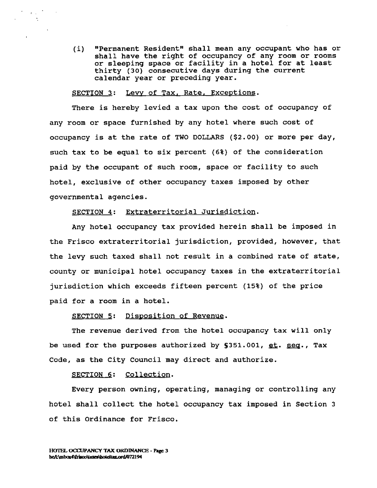(i) "Permanent Resident" shall mean any occupant who has or shall have the right of occupancy of any room or rooms or sleeping space or facility in a hotel for at least thirty (30) consecutive days during the current calendar year or preceding year.

#### SECTION 3: Levy of Tax, Rate, Exceptions.

 $\mathcal{F}(\mathcal{A})$  .

There is hereby levied a tax upon the cost of occupancy of any room or space furnished by any hotel where such cost of occupancy is at the rate of TWO DOLLARS (\$2.00) or more per day, such tax to be equal to six percent (6%) of the consideration paid by the occupant of such room, space or facility to such hotel, exclusive of other occupancy taxes imposed by other governmental agencies.

#### SECTION 4: Extraterritorial Jurisdiction.

Any hotel occupancy tax provided herein shall be imposed in the Frisco extraterritorial jurisdiction, provided, however, that the levy such taxed shall not result in a combined rate of state, county or municipal hotel occupancy taxes in the extraterritorial jurisdiction which exceeds fifteen percent (15%) of the price paid for a room in a hotel.

#### SECTION 5: Disposition of Revenue.

The revenue derived from the hotel occupancy tax will only be used for the purposes authorized by  $$351.001$ , et. seq., Tax Code, as the City Council may direct and authorize.

#### SECTION 6: Collection.

Every person owning, operating, managing or controlling any hotel shall collect the hotel occupancy tax imposed in Section 3 of this Ordinance for Frisco.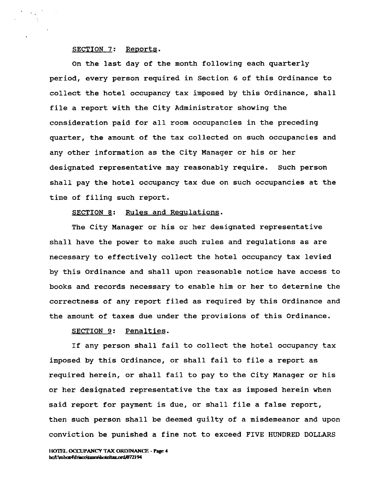#### SECTION 7: Reports.

 $\sigma_{\rm{eff}}$ 

On the last day of the month following each quarterly period, every person required in Section 6 of this Ordinance to collect the hotel occupancy tax imposed by this Ordinance, shall file a report with the City Administrator showing the consideration paid for all room occupancies in the preceding quarter, the amount of the tax collected on such occupancies and any other information as the City Manager or his or her designated representative may reasonably require. Such person shall pay the hotel occupancy tax due on such occupancies at the time of filing such report.

#### SECTION 8: Rules and Regulations.

The City Manager or his or her designated representative shall have the power to make such rules and regulations as are necessary to effectively collect the hotel occupancy tax levied by this Ordinance and shall upon reasonable notice have access to books and records necessary to enable him or her to determine the correctness of any report filed as required by this Ordinance and the amount of taxes due under the provisions of this Ordinance.

#### SECTION 9: Penalties.

If any person shall fail to collect the hotel occupancy tax imposed by this Ordinance, or shall fail to file a report as required herein, or shall fail to pay to the City Manager or his or her designated representative the tax as imposed herein when said report for payment is due, or shall file a false report, then such person shall be deemed guilty of a misdemeanor and upon conviction be punished a fine not to exceed FIVE HUNDRED DOLLARS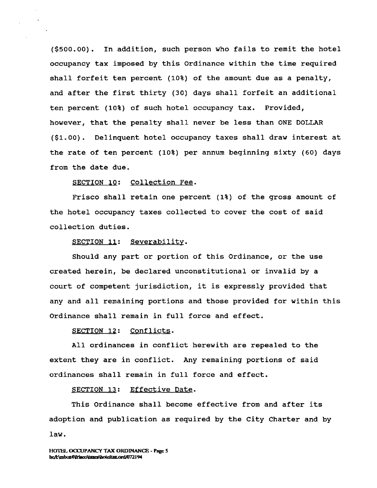(\$500.00). In addition, such person who fails to remit the hotel occupancy tax imposed by this Ordinance within the time required shall forfeit ten percent (10%) of the amount due as a penalty, and after the first thirty (30) days shall forfeit an additional ten percent (10%) of such hotel occupancy tax. Provided, however, that the penalty shall never be less than ONE DOLLAR (\$1.00). Delinquent hotel occupancy taxes shall draw interest at the rate of ten percent (10%) per annum beginning sixty (60) days from the date due.

### SECTION 10: Collection Fee.

Frisco shall retain one percent (1%) of the gross amount of the hotel occupancy taxes collected to cover the cost of said collection duties.

#### SECTION 11: Severability.

Should any part or portion of this Ordinance, or the use created herein, be declared unconstitutional or invalid by a court of competent jurisdiction, it is expressly provided that any and all remaining portions and those provided for within this Ordinance shall remain in full force and effect.

#### SECTION 12: Conflicts.

All ordinances in conflict herewith are repealed to the extent they are in conflict. Any remaining portions of said ordinances shall remain in full force and effect.

#### SECTION 13: Effective Date.

This Ordinance shall become effective from and after its adoption and publication as required by the City Charter and by law.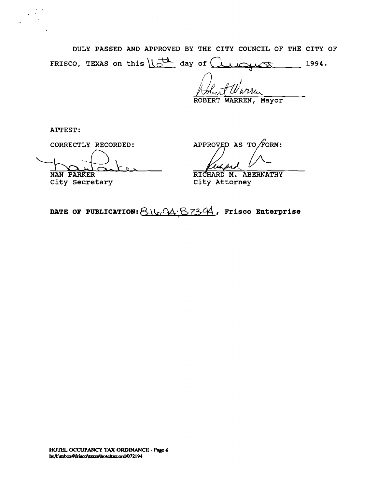DULY PASSED AND APPROVED BY THE CITY COUNCIL OF THE CITY OF DULY PASSED AND APPROVED BY THE CITY COUNCIL OF THE CITY<br>FRISCO, TEXAS on this  $\frac{1}{k}$  day of C  $\frac{1994}{k}$ .

 $\omega$   $\nu$ u $\sim$ 

ROBERT WARREN, Mayor

ATTEST:

 $\sim$ 

City Secretary

CORRECTLY RECORDED:  $APPROVED AS TO / FORM:$ 

NAN PARKER RICHARD M. ABERNATHY<br>City Secretary City Attorney

DATE OF PUBLICATION: 8.16.94.87394, Frisco Enterprise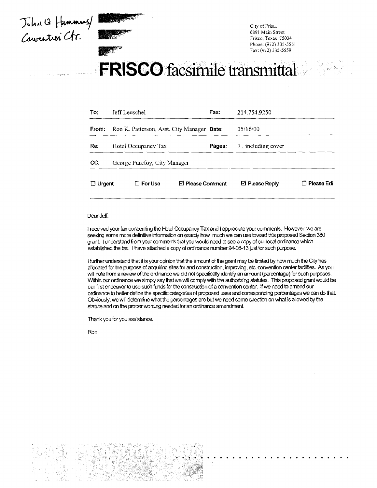Joha Q Hammas/



City of Frisco 6891 Main Street Frisco, Texas 75034 Phone: (972) 335-5551 Fax: (972) 335-5559

# FRISCO facsimile transmittal

| To:           | Jeff Leuschel                              | Fax:   | 214.754.9250       |                 |
|---------------|--------------------------------------------|--------|--------------------|-----------------|
| From:         | Ron K. Patterson, Asst. City Manager Date: |        | 05/16/00           |                 |
| Re:           | Hotel Occupancy Tax                        | Pages: | 7, including cover |                 |
| CC.           | George Purefoy, City Manager               |        |                    |                 |
| $\Box$ Urgent | $\square$ For Use<br>⊠ Please Comment      |        | ⊠ Please Reply     | Piease Edi<br>П |

#### Dear Jeff:

I received your fax concerning the Hotel Occupancy Tax and I appreciate your comments. However, we are seeking some more definitive information on exactly how much we can use toward this proposed Section 380 grant I understand from your comments that you would need to see a copy of our local ordinance which established the tax. I have attached a copy of ordnance number 94-08-13 just for such purpose.

I further understand that it is your opinion that the amount of the grant may be limited by how much the City has allocated for the purpose of acquiring sites for and construction, improving, etc. convention center facilities. As you will note from a review of the ordinance we did not specifically identify an amount (percentage) for such purposes. Within our ordinance we simply say that we will comply with the autiorting statutes. This proposed grant would be our first endeavor to use such funds for the construction of a convention center. If we need to amend our ordinance to better define the specific categories of proposed uses and corresponding percentages we can do that. Obviously, we will determine what the percentages are but we need some direction on what is allowed by the statute and on the proper wording needed for an ordinance amendment

Thank you for you assistance.

Ron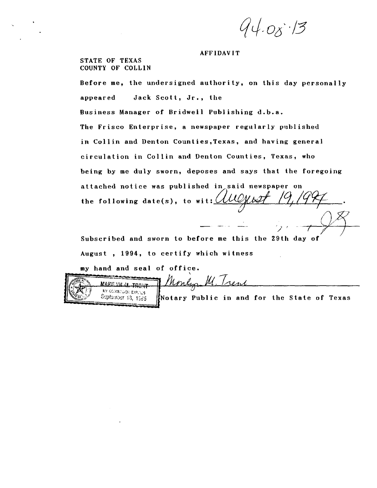$94.08.13$ 

#### AFFIDAVIT

STATE OF TEXAS COUNTY OF COLLIN

Before me, the undersigned authority, on this day personally appeared Jack Scott, Jr., the Business Manager of Bridwell Publishing d.b.a. The Frisco Enterprise, a newspaper regularly published in Collin and Denton Counties,Texas, and having general circulation in Collin and Denton Counties, Texas, who being by me duly sworn, deposes and says that the foregoing attached notice was published in said newspaper on the following date(s), to wit:  $\mathcal{U}\mathcal{U}\mathcal{Y}\mathcal{U}$ 

Subscribed and sworn to before me this the 29th day of August , 1994, to certify which witness

Monling M. Trent

my hand and seal of office.

|                | とうかん こうしんかん スープ・ボーム パップレイン はんか かんこうし |
|----------------|--------------------------------------|
|                | MAEL YN M. TRENT                     |
| $\mathbb{R}^n$ | MY GORMINGOR EXPLICE.                |
|                | Soptember 13, 1985                   |

 $5.195$  [Notary Public in and for the State of Texas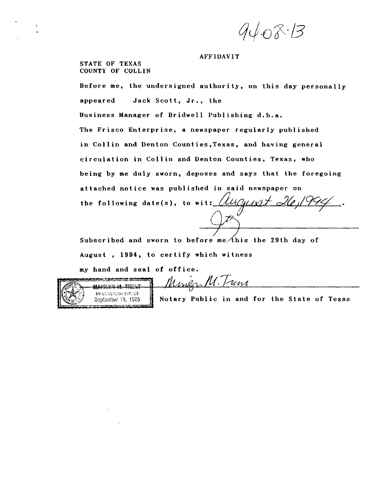$9408.5$ 

#### AFFIDAVIT

STATE OF TEXAS COUNTY OF COLLIN

Before me, the undersigned authority, on this day personally appeared Jack Scott, Jr., the Business Manager of Bridwell Publishing d.b.a. The Frisco Enterprise, a newspaper regularly published in Collin and Denton Counties,Texas, and having general circulation in Collin and Denton Counties, Texas, who being by me duly sworn, deposes and says that the foregoing attached notice was published in said newspaper on the following date(s), to wit:  $\mu$ 

Subscribed and sworn to before me $\Lambda$ his the 29th day of August , 1994, to certify which witness

my hand and seal of office.



M. Jun Marla

Septamber 13, 1925  $\parallel$  Notary Public in and for the State of Texas

 $\mathcal U$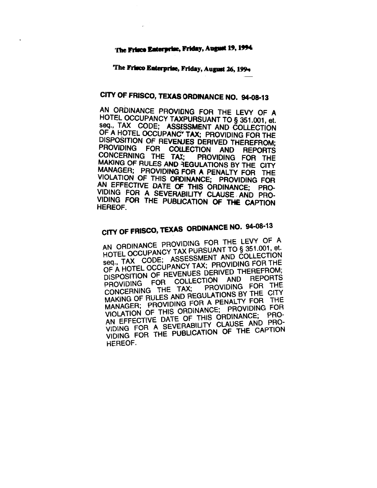#### **The Frisco laterprbe, Friday, August 19, 1994**

The **Frisco Enterprise, Friday, August 26,199,**

### **CITY OF FRISCO, TEXAS ORDINANCE NO. 94-08-13**

AN ORDINANCE PROVIONG FOR THE LEVY OF A HOTEL OCCUPANCY TAXPURSUANT TO § 351.001, et. OF A HOTEL OCCUPANC<sup>\*</sup> TAX; PROVIDING FOR THE DISPOSITION OF REVENJES DERIVED THEREFROM;<br>PROVIDING FOR COLLECTION AND REPORTS **PROVIDING THE TAX; PROVIDING FOR THE MAKING OF RULES AND REGULATIONS BY THE CITY**<br>MANAGER; PROVIDING FOR A PENALTY FOR THE VIOLATION OF THIS ORDINANCE; PROVIDING FOR<br>AN EFFECTIVE DATE OF THIS ORDINANCE; PRO-<br>VIDING FOR A SEVERABILITY CLAUSE AND PRO-<br>VIDING FOR THE PUBLICATION OF THE CAPTION<br>HEREOF.

# **CITY OF FRISCO, TEXAS ORDINANCE NO. 94-08-13**

AN ORDINANCE PROVIDING FOR THE LEVY OF A HOTEL OCCUPANCY TAX PURSUANT TO § 351.001, et. seq., TAX CODE; ASSESSMENT AND COLLECTION OF A HOTEL OCCUPANCY TAX; PROVIDING FOR THE DISPOSITION OF REVENUES DERIVED THEREFROM; PROVIDING FOR COLLECTION AND REPORTS<br>CONCERNING THE TAX; PROVIDING FOR THE PROVIDING THE TAX; PROVIDING FOR THE MAKING OF RULES AND REGULATIONS BY THE CITY MANAGER; PROVIDING FOR A PENALTY FOR THE VIOLATION OF THIS ORDINANCE; PROVIDING FOR AN EFFECTIVE DATE OF THIS ORDINANCE; PRO-VIDING FOR A SEVERABILITY CLAUSE AND PRO-VIDING FOR THE PUBLICATION OF THE CAPTION HEREOF.